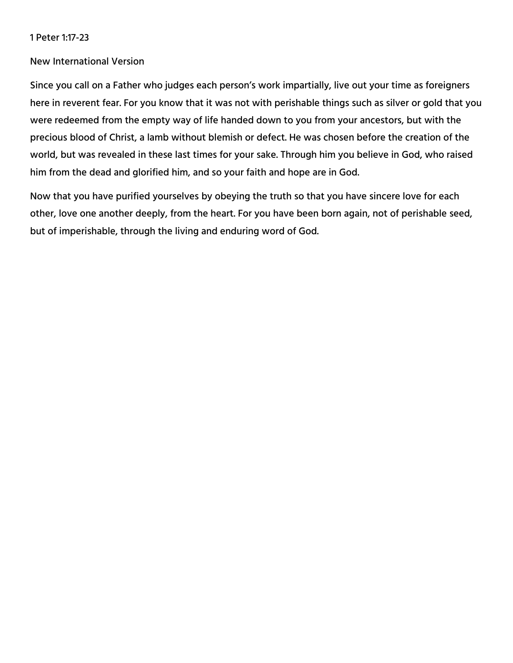# 1 Peter 1:17-23

# New International Version

Since you call on a Father who judges each person's work impartially, live out your time as foreigners here in reverent fear. For you know that it was not with perishable things such as silver or gold that you were redeemed from the empty way of life handed down to you from your ancestors, but with the precious blood of Christ, a lamb without blemish or defect. He was chosen before the creation of the world, but was revealed in these last times for your sake. Through him you believe in God, who raised him from the dead and glorified him, and so your faith and hope are in God.

Now that you have purified yourselves by obeying the truth so that you have sincere love for each other, love one another deeply, from the heart. For you have been born again, not of perishable seed, but of imperishable, through the living and enduring word of God.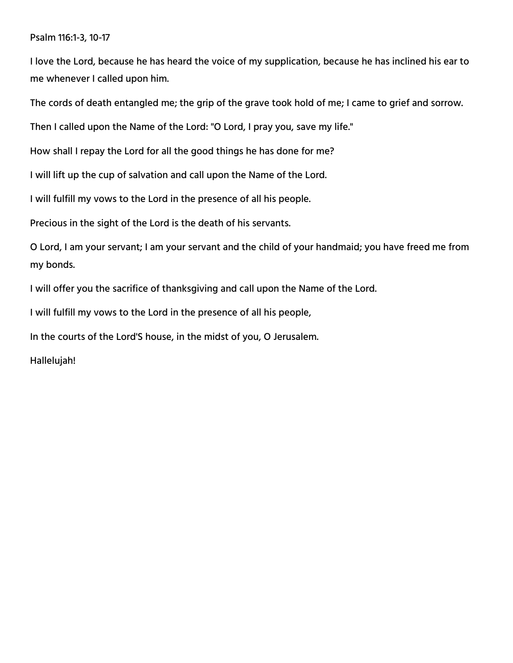# Psalm 116:1-3, 10-17

I love the Lord, because he has heard the voice of my supplication, because he has inclined his ear to me whenever I called upon him.

The cords of death entangled me; the grip of the grave took hold of me; I came to grief and sorrow.

Then I called upon the Name of the Lord: "O Lord, I pray you, save my life."

How shall I repay the Lord for all the good things he has done for me?

I will lift up the cup of salvation and call upon the Name of the Lord.

I will fulfill my vows to the Lord in the presence of all his people.

Precious in the sight of the Lord is the death of his servants.

O Lord, I am your servant; I am your servant and the child of your handmaid; you have freed me from my bonds.

I will offer you the sacrifice of thanksgiving and call upon the Name of the Lord.

I will fulfill my vows to the Lord in the presence of all his people,

In the courts of the Lord'S house, in the midst of you, O Jerusalem.

Hallelujah!